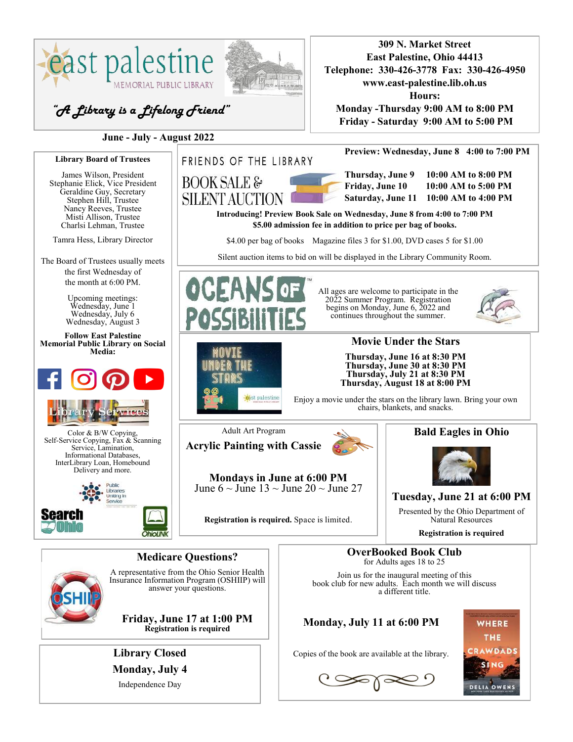

**Monday, July 4**

Independence Day

 $\text{Cov}$ 

**DELIA OWENS**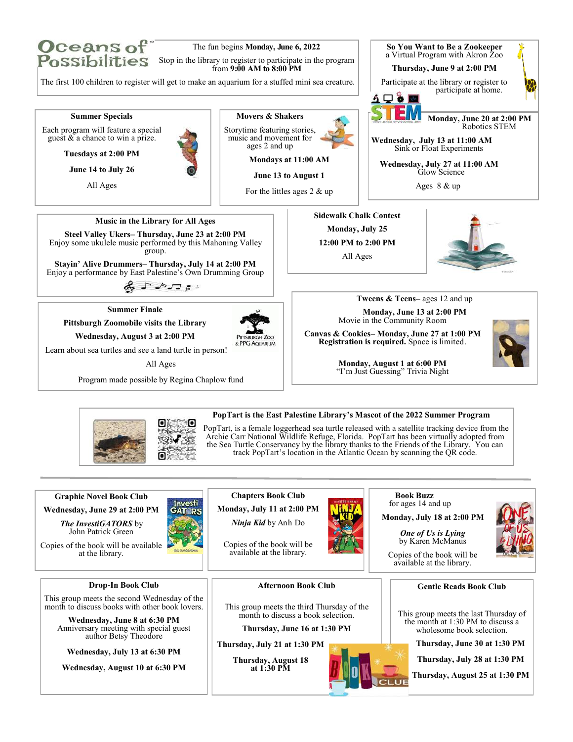

**Pittsburgh Zoomobile visits the Library** 

**Wednesday, August 3 at 2:00 PM**

Learn about sea turtles and see a land turtle in person!

All Ages

Program made possible by Regina Chaplow fund





Movie in the Community Room

**Canvas & Cookies– Monday, June 27 at 1:00 PM Registration is required.** Space is limited.



**Monday, August 1 at 6:00 PM** "I'm Just Guessing" Trivia Night



### **PopTart is the East Palestine Library's Mascot of the 2022 Summer Program**

PopTart, is a female loggerhead sea turtle released with a satellite tracking device from the Archie Carr National Wildlife Refuge, Florida. PopTart has been virtually adopted from the Sea Turtle Conservancy by the library thanks to the Friends of the Library. You can track PopTart's location in the Atlantic Ocean by scanning the QR code.

**Graphic Novel Book Club**

**Wednesday, June 29 at 2:00 PM**

*The InvestiGATORS* by John Patrick Green Copies of the book will be available

at the library.

**Chapters Book Club Monday, July 11 at 2:00 PM**

*Ninja Kid* by Anh Do

Copies of the book will be available at the library.



 **Book Buzz** for ages 14 and up

**Monday, July 18 at 2:00 PM**

*One of Us is Lying*  by Karen McManus



Copies of the book will be available at the library.

**Gentle Reads Book Club**

This group meets the last Thursday of the month at 1:30 PM to discuss a wholesome book selection.

**Thursday, June 30 at 1:30 PM**

**Thursday, July 28 at 1:30 PM**

**Thursday, August 25 at 1:30 PM**

**Drop-In Book Club**

This group meets the second Wednesday of the month to discuss books with other book lovers.

> **Wednesday, June 8 at 6:30 PM** Anniversary meeting with special guest author Betsy Theodore

**Wednesday, July 13 at 6:30 PM** 

**Wednesday, August 10 at 6:30 PM**

**Afternoon Book Club**

This group meets the third Thursday of the month to discuss a book selection.

**Thursday, June 16 at 1:30 PM**

**Thursday, July 21 at 1:30 PM**

**Thursday, August 18 at 1:30 PM**



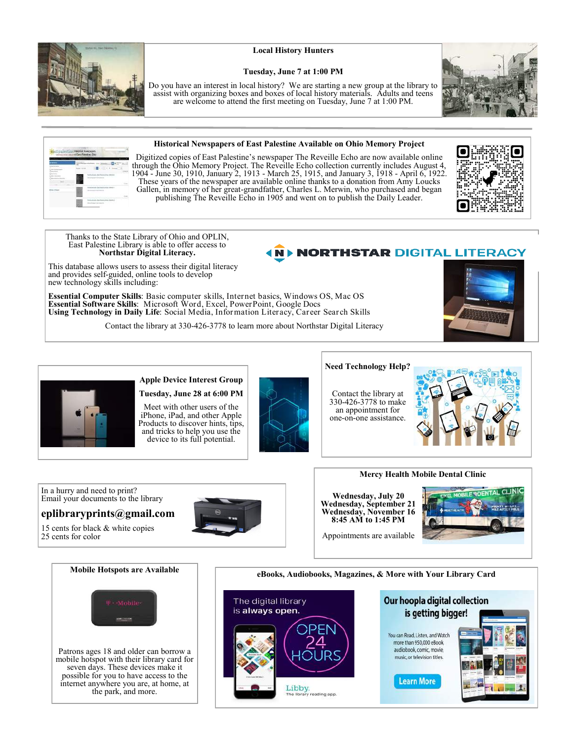

### **Local History Hunters**

#### **Tuesday, June 7 at 1:00 PM**

Do you have an interest in local history? We are starting a new group at the library to assist with organizing boxes and boxes of local history materials. Adults and teens are welcome to attend the first meeting on Tuesday, June 7 at 1:00 PM.



Digitized copies of East Palestine's newspaper The Reveille Echo are now available online through the Ohio Memory Project. The Reveille Echo collection currently includes August 4, 1904 - June 30, 1910, January 2, 1913 - March 25, 1915, and January 3, 1918 - April 6, 1922. These years of the newspaper are available online thanks to a donation from Amy Loucks Gallen, in memory of her great-grandfather, Charles L. Merwin, who purchased and began publishing The Reveille Echo in 1905 and went on to publish the Daily Leader.



Thanks to the State Library of Ohio and OPLIN, East Palestine Library is able to offer access to **Northstar Digital Literacy.**

# **NORTHSTAR DIGITAL LITERACY**

This database allows users to assess their digital literacy and provides self-guided, online tools to develop new technology skills including:

**Essential Computer Skills**: Basic computer skills, Internet basics, Windows OS, Mac OS **Essential Software Skills**: Microsoft Word, Excel, PowerPoint, Google Docs **Using Technology in Daily Life**: Social Media, Information Literacy, Career Search Skills

Contact the library at 330-426-3778 to learn more about Northstar Digital Literacy





### **Apple Device Interest Group Tuesday, June 28 at 6:00 PM**

Meet with other users of the iPhone, iPad, and other Apple Products to discover hints, tips, and tricks to help you use the device to its full potential.



## **Need Technology Help?**

Contact the library at 330-426-3778 to make an appointment for one-on-one assistance.



In a hurry and need to print? Email your documents to the library

## **eplibraryprints@gmail.com**

the park, and more.

15 cents for black & white copies 25 cents for color



**Wednesday, July 20 Wednesday, September 21** 

**Mercy Health Mobile Dental Clinic**

**Wednesday, November 16 8:45 AM to 1:45 PM**

Appointments are available





Libby.<br>The library reading app.